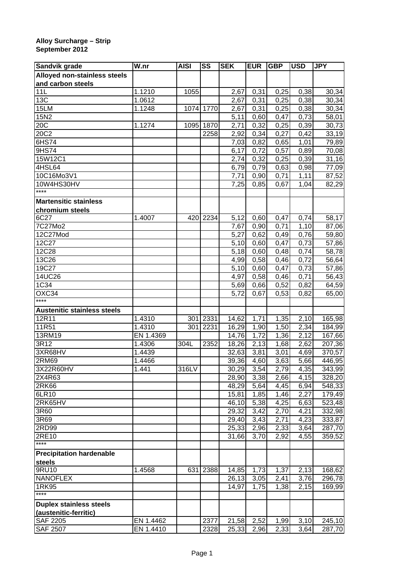## **Alloy Surcharge – Strip September 2012**

| Sandvik grade                      | W.nr      | <b>AISI</b> | SS        | <b>SEK</b> | <b>EUR</b> | <b>GBP</b> | <b>USD</b>        | <b>JPY</b> |
|------------------------------------|-----------|-------------|-----------|------------|------------|------------|-------------------|------------|
| Alloyed non-stainless steels       |           |             |           |            |            |            |                   |            |
| and carbon steels                  |           |             |           |            |            |            |                   |            |
| 11L                                | 1.1210    | 1055        |           | 2,67       | 0,31       | 0,25       | 0,38              | 30,34      |
| 13C                                | 1.0612    |             |           | 2,67       | 0,31       | 0,25       | 0,38              | 30,34      |
| 15LM                               | 1.1248    |             | 1074 1770 | 2,67       | 0,31       | 0,25       | 0,38              | 30,34      |
| 15N2                               |           |             |           | 5,11       | 0,60       | 0,47       | 0,73              | 58,01      |
| 20C                                | 1.1274    | 1095        | 1870      | 2,71       | 0,32       | 0,25       | 0,39              | 30,73      |
| 20C2                               |           |             | 2258      | 2,92       | 0,34       | 0,27       | 0,42              | 33,19      |
| 6HS74                              |           |             |           | 7,03       | 0,82       | 0,65       | 1,01              | 79,89      |
| 9HS74                              |           |             |           | 6,17       | 0,72       | 0,57       | 0,89              | 70,08      |
| 15W12C1                            |           |             |           | 2,74       | 0,32       | 0,25       | 0,39              | 31,16      |
| 4HSL64                             |           |             |           | 6,79       | 0,79       | 0,63       | 0,98              | 77,09      |
| 10C16Mo3V1                         |           |             |           | 7,71       | 0,90       | 0,71       | 1,11              | 87,52      |
| 10W4HS30HV                         |           |             |           | 7,25       | 0,85       | 0,67       | 1,04              | 82,29      |
| $***$                              |           |             |           |            |            |            |                   |            |
| <b>Martensitic stainless</b>       |           |             |           |            |            |            |                   |            |
| chromium steels                    |           |             |           |            |            |            |                   |            |
| 6C27                               | 1.4007    | 420         | 2234      | 5,12       | 0,60       | 0,47       | 0,74              | 58,17      |
| 7C27Mo2                            |           |             |           | 7,67       | 0,90       | 0,71       | 1,10              | 87,06      |
| 12C27Mod                           |           |             |           | 5,27       | 0,62       | 0,49       | 0,76              | 59,80      |
| 12C27                              |           |             |           | 5,10       | 0,60       | 0,47       | 0,73              | 57,86      |
| 12C28                              |           |             |           | 5,18       | 0,60       | 0,48       | 0,74              | 58,78      |
| 13C26                              |           |             |           | 4,99       | 0,58       | 0,46       | 0,72              | 56,64      |
| 19C27                              |           |             |           | 5,10       | 0,60       | 0,47       | 0,73              | 57,86      |
| 14UC26                             |           |             |           | 4,97       | 0,58       | 0,46       | 0,71              | 56,43      |
| 1C34                               |           |             |           | 5,69       | 0,66       | 0,52       | 0,82              | 64,59      |
| OXC34                              |           |             |           | 5,72       | 0,67       | 0,53       | 0,82              | 65,00      |
| ****                               |           |             |           |            |            |            |                   |            |
| <b>Austenitic stainless steels</b> |           |             |           |            |            |            |                   |            |
| 12R11                              | 1.4310    | 301         | 2331      | 14,62      | 1,71       | 1,35       | 2,10              | 165,98     |
| 11R51                              | 1.4310    | 301         | 2231      | 16,29      | 1,90       | 1,50       | 2,34              | 184,99     |
| 13RM19                             | EN 1.4369 |             |           | 14,76      | 1,72       | 1,36       | 2,12              | 167,66     |
| 3R12                               | 1.4306    | 304L        | 2352      | 18,26      | 2,13       | 1,68       | $\overline{2,62}$ | 207,36     |
| 3XR68HV                            | 1.4439    |             |           | 32,63      | 3,81       | 3,01       | 4,69              | 370,57     |
| 2RM69                              | 1.4466    |             |           | 39,36      | 4,60       | 3,63       | 5,66              | 446,95     |
| 3X22R60HV                          | 1.441     | 316LV       |           | 30,29      | 3,54       | 2,79       | 4,35              | 343,99     |
| 2X4R63                             |           |             |           | 28,90      | 3,38       | 2,66       | 4,15              | 328,20     |
| 2R <sub>K66</sub>                  |           |             |           | 48,29      | 5,64       | 4,45       | 6,94              | 548,33     |
| 6LR10                              |           |             |           | 15,81      | 1,85       | 1,46       | 2,27              | 179,49     |
| 2RK65HV                            |           |             |           | 46,10      | 5,38       | 4,25       | 6,63              | 523,48     |
| 3R60                               |           |             |           | 29,32      | 3,42       | 2,70       | 4,21              | 332,98     |
| 3R69                               |           |             |           | 29,40      | 3,43       | 2,71       | 4,23              | 333,87     |
| 2RD99                              |           |             |           | 25,33      | 2,96       | 2,33       | 3,64              | 287,70     |
| 2RE10                              |           |             |           | 31,66      | 3,70       | 2,92       | 4,55              | 359,52     |
| $***$                              |           |             |           |            |            |            |                   |            |
| <b>Precipitation hardenable</b>    |           |             |           |            |            |            |                   |            |
|                                    |           |             |           |            |            |            |                   |            |
| steels<br>9RU10                    | 1.4568    | 631         | 2388      | 14,85      | 1,73       | 1,37       | 2,13              | 168,62     |
| <b>NANOFLEX</b>                    |           |             |           | 26,13      |            |            | 3,76              |            |
| 1RK95                              |           |             |           |            | 3,05       | 2,41       |                   | 296,78     |
| $***$                              |           |             |           | 14,97      | 1,75       | 1,38       | 2,15              | 169,99     |
|                                    |           |             |           |            |            |            |                   |            |
| <b>Duplex stainless steels</b>     |           |             |           |            |            |            |                   |            |
| (austenitic-ferritic)              |           |             |           |            |            |            |                   |            |
| <b>SAF 2205</b>                    | EN 1.4462 |             | 2377      | 21,58      | 2,52       | 1,99       | 3,10              | 245,10     |
| <b>SAF 2507</b>                    | EN 1.4410 |             | 2328      | 25,33      | 2,96       | 2,33       | 3,64              | 287,70     |